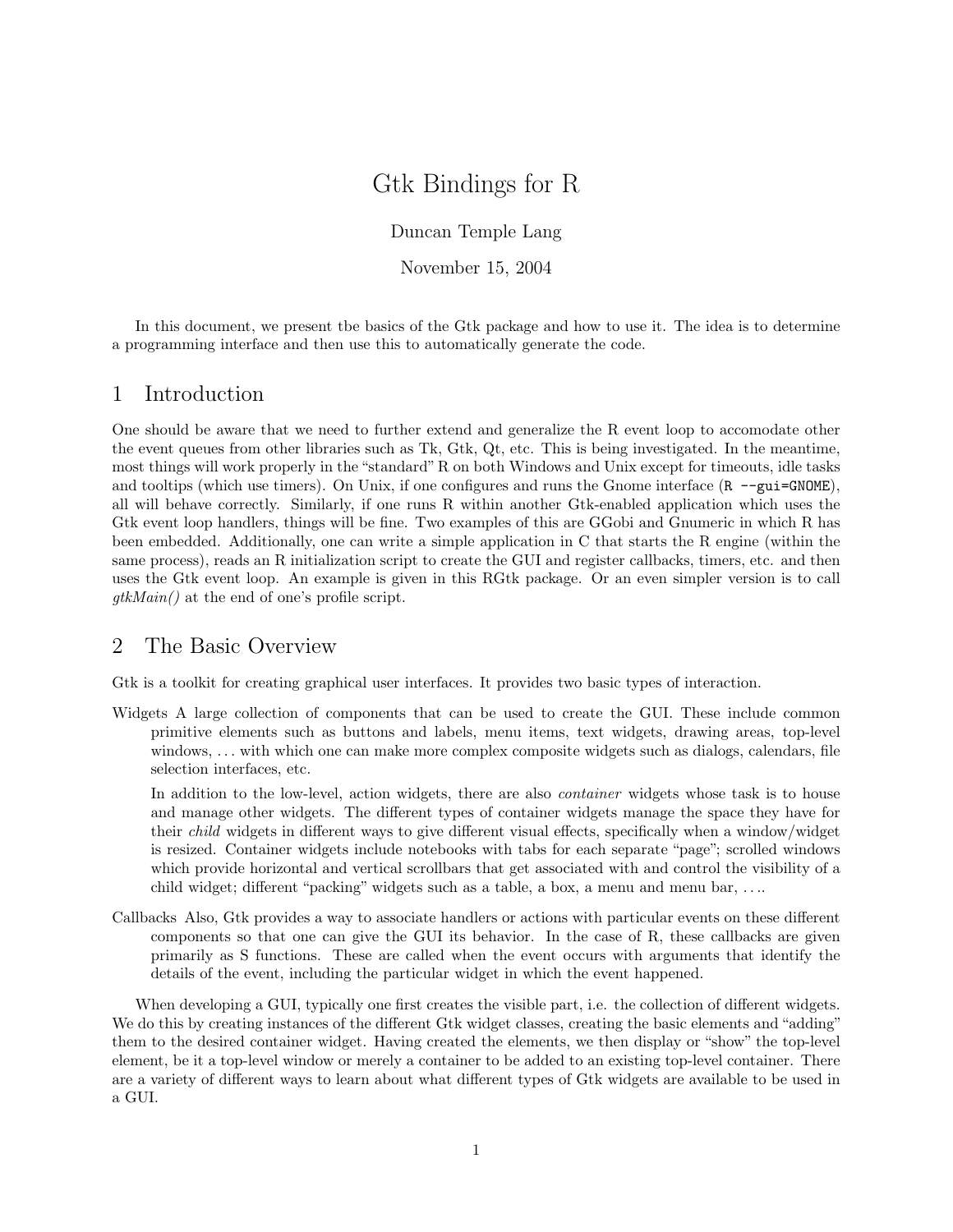# Gtk Bindings for R

Duncan Temple Lang

November 15, 2004

In this document, we present tbe basics of the Gtk package and how to use it. The idea is to determine a programming interface and then use this to automatically generate the code.

# 1 Introduction

One should be aware that we need to further extend and generalize the R event loop to accomodate other the event queues from other libraries such as Tk, Gtk, Qt, etc. This is being investigated. In the meantime, most things will work properly in the "standard" R on both Windows and Unix except for timeouts, idle tasks and tooltips (which use timers). On Unix, if one configures and runs the Gnome interface (R --gui=GNOME), all will behave correctly. Similarly, if one runs R within another Gtk-enabled application which uses the Gtk event loop handlers, things will be fine. Two examples of this are GGobi and Gnumeric in which R has been embedded. Additionally, one can write a simple application in C that starts the R engine (within the same process), reads an R initialization script to create the GUI and register callbacks, timers, etc. and then uses the Gtk event loop. An example is given in this RGtk package. Or an even simpler version is to call gtkMain() at the end of one's profile script.

# 2 The Basic Overview

Gtk is a toolkit for creating graphical user interfaces. It provides two basic types of interaction.

Widgets A large collection of components that can be used to create the GUI. These include common primitive elements such as buttons and labels, menu items, text widgets, drawing areas, top-level windows, ... with which one can make more complex composite widgets such as dialogs, calendars, file selection interfaces, etc.

In addition to the low-level, action widgets, there are also *container* widgets whose task is to house and manage other widgets. The different types of container widgets manage the space they have for their child widgets in different ways to give different visual effects, specifically when a window/widget is resized. Container widgets include notebooks with tabs for each separate "page"; scrolled windows which provide horizontal and vertical scrollbars that get associated with and control the visibility of a child widget; different "packing" widgets such as a table, a box, a menu and menu bar, . . ..

Callbacks Also, Gtk provides a way to associate handlers or actions with particular events on these different components so that one can give the GUI its behavior. In the case of R, these callbacks are given primarily as S functions. These are called when the event occurs with arguments that identify the details of the event, including the particular widget in which the event happened.

When developing a GUI, typically one first creates the visible part, i.e. the collection of different widgets. We do this by creating instances of the different Gtk widget classes, creating the basic elements and "adding" them to the desired container widget. Having created the elements, we then display or "show" the top-level element, be it a top-level window or merely a container to be added to an existing top-level container. There are a variety of different ways to learn about what different types of Gtk widgets are available to be used in a GUI.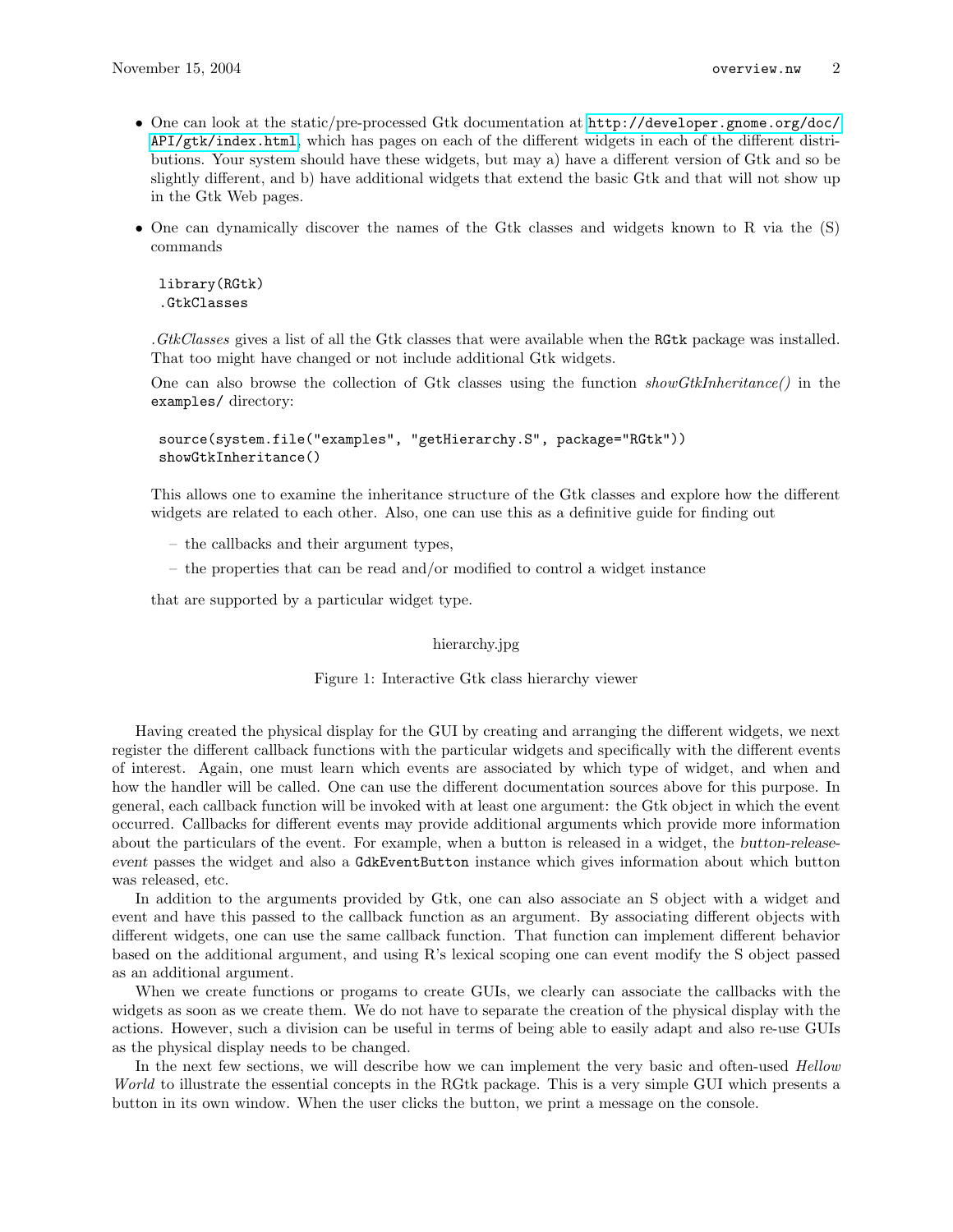- One can look at the static/pre-processed Gtk documentation at [http://developer.gnome.org/doc/](http://developer.gnome.org/doc/API/gtk/index.html) [API/gtk/index.html](http://developer.gnome.org/doc/API/gtk/index.html), which has pages on each of the different widgets in each of the different distributions. Your system should have these widgets, but may a) have a different version of Gtk and so be slightly different, and b) have additional widgets that extend the basic Gtk and that will not show up in the Gtk Web pages.
- One can dynamically discover the names of the Gtk classes and widgets known to R via the (S) commands

```
library(RGtk)
.GtkClasses
```
.GtkClasses gives a list of all the Gtk classes that were available when the RGtk package was installed. That too might have changed or not include additional Gtk widgets.

One can also browse the collection of Gtk classes using the function showGtkInheritance() in the examples/ directory:

```
source(system.file("examples", "getHierarchy.S", package="RGtk"))
showGtkInheritance()
```
This allows one to examine the inheritance structure of the Gtk classes and explore how the different widgets are related to each other. Also, one can use this as a definitive guide for finding out

- the callbacks and their argument types,
- the properties that can be read and/or modified to control a widget instance

that are supported by a particular widget type.

hierarchy.jpg

Figure 1: Interactive Gtk class hierarchy viewer

Having created the physical display for the GUI by creating and arranging the different widgets, we next register the different callback functions with the particular widgets and specifically with the different events of interest. Again, one must learn which events are associated by which type of widget, and when and how the handler will be called. One can use the different documentation sources above for this purpose. In general, each callback function will be invoked with at least one argument: the Gtk object in which the event occurred. Callbacks for different events may provide additional arguments which provide more information about the particulars of the event. For example, when a button is released in a widget, the button-releaseevent passes the widget and also a GdkEventButton instance which gives information about which button was released, etc.

In addition to the arguments provided by Gtk, one can also associate an S object with a widget and event and have this passed to the callback function as an argument. By associating different objects with different widgets, one can use the same callback function. That function can implement different behavior based on the additional argument, and using R's lexical scoping one can event modify the S object passed as an additional argument.

When we create functions or progams to create GUIs, we clearly can associate the callbacks with the widgets as soon as we create them. We do not have to separate the creation of the physical display with the actions. However, such a division can be useful in terms of being able to easily adapt and also re-use GUIs as the physical display needs to be changed.

In the next few sections, we will describe how we can implement the very basic and often-used *Hellow* World to illustrate the essential concepts in the RGtk package. This is a very simple GUI which presents a button in its own window. When the user clicks the button, we print a message on the console.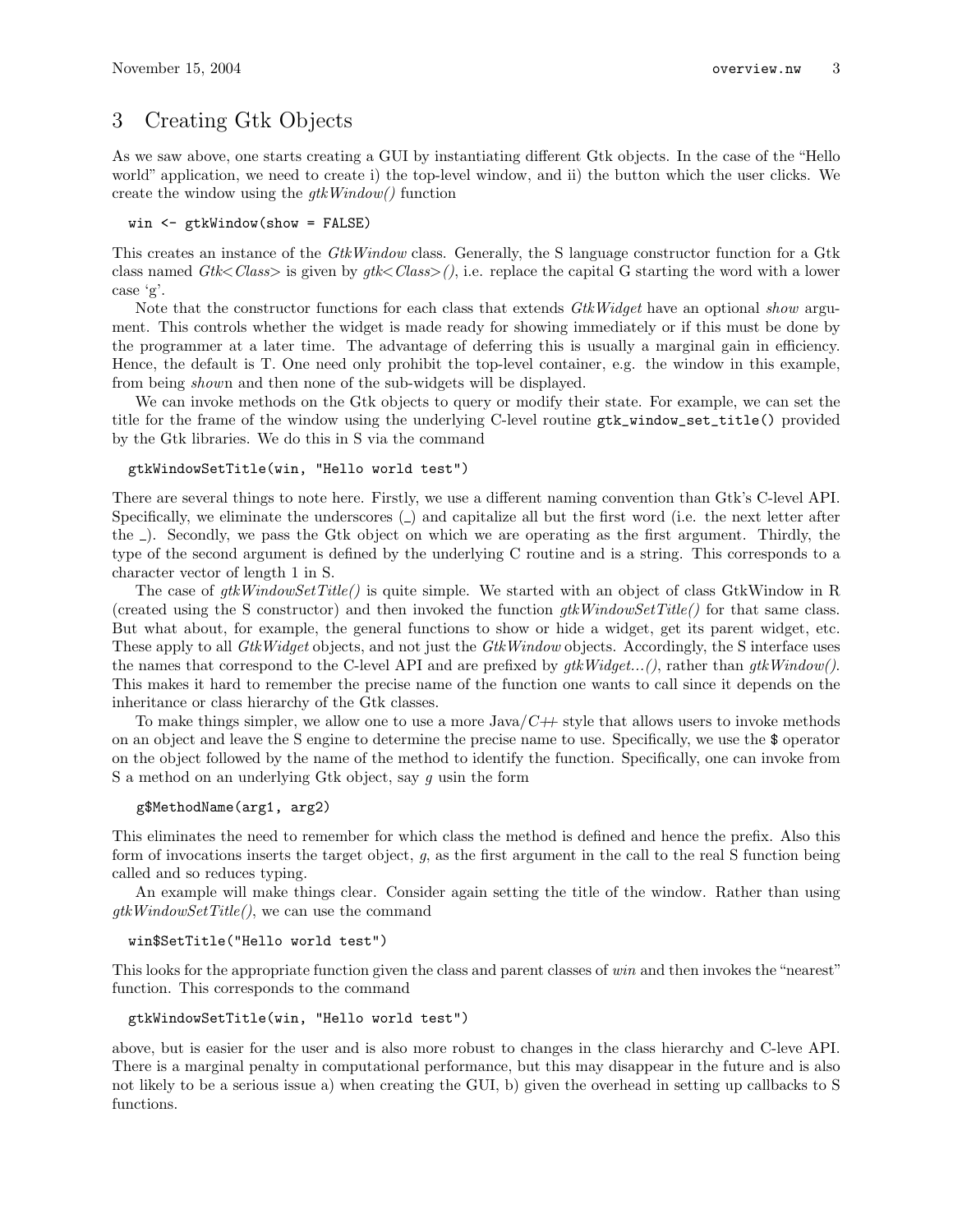# 3 Creating Gtk Objects

As we saw above, one starts creating a GUI by instantiating different Gtk objects. In the case of the "Hello world" application, we need to create i) the top-level window, and ii) the button which the user clicks. We create the window using the  $qtkWindow()$  function

```
win <- gtkWindow(show = FALSE)
```
This creates an instance of the GtkWindow class. Generally, the S language constructor function for a Gtk class named  $G$ tk<*Class*> is given by  $g$ tk $\langle Class \rangle$  (), i.e. replace the capital G starting the word with a lower case 'g'.

Note that the constructor functions for each class that extends GtkWidget have an optional show argument. This controls whether the widget is made ready for showing immediately or if this must be done by the programmer at a later time. The advantage of deferring this is usually a marginal gain in efficiency. Hence, the default is T. One need only prohibit the top-level container, e.g. the window in this example, from being shown and then none of the sub-widgets will be displayed.

We can invoke methods on the Gtk objects to query or modify their state. For example, we can set the title for the frame of the window using the underlying C-level routine gtk\_window\_set\_title() provided by the Gtk libraries. We do this in S via the command

#### gtkWindowSetTitle(win, "Hello world test")

There are several things to note here. Firstly, we use a different naming convention than Gtk's C-level API. Specifically, we eliminate the underscores ( $\Box$ ) and capitalize all but the first word (i.e. the next letter after the ). Secondly, we pass the Gtk object on which we are operating as the first argument. Thirdly, the type of the second argument is defined by the underlying C routine and is a string. This corresponds to a character vector of length 1 in S.

The case of  $gtkWindowSetTitle()$  is quite simple. We started with an object of class GtkWindow in R (created using the S constructor) and then invoked the function  $qtkWindowSetTitle()$  for that same class. But what about, for example, the general functions to show or hide a widget, get its parent widget, etc. These apply to all *GtkWidget* objects, and not just the *GtkWindow* objects. Accordingly, the S interface uses the names that correspond to the C-level API and are prefixed by  $gtkWidge...$ , rather than  $gtkWindow()$ . This makes it hard to remember the precise name of the function one wants to call since it depends on the inheritance or class hierarchy of the Gtk classes.

To make things simpler, we allow one to use a more  $Java/C++$  style that allows users to invoke methods on an object and leave the S engine to determine the precise name to use. Specifically, we use the \$ operator on the object followed by the name of the method to identify the function. Specifically, one can invoke from S a method on an underlying Gtk object, say  $g$  usin the form

#### g\$MethodName(arg1, arg2)

This eliminates the need to remember for which class the method is defined and hence the prefix. Also this form of invocations inserts the target object,  $g$ , as the first argument in the call to the real S function being called and so reduces typing.

An example will make things clear. Consider again setting the title of the window. Rather than using  $qtkWindowSetTitle(),$  we can use the command

#### win\$SetTitle("Hello world test")

This looks for the appropriate function given the class and parent classes of win and then invokes the "nearest" function. This corresponds to the command

```
gtkWindowSetTitle(win, "Hello world test")
```
above, but is easier for the user and is also more robust to changes in the class hierarchy and C-leve API. There is a marginal penalty in computational performance, but this may disappear in the future and is also not likely to be a serious issue a) when creating the GUI, b) given the overhead in setting up callbacks to S functions.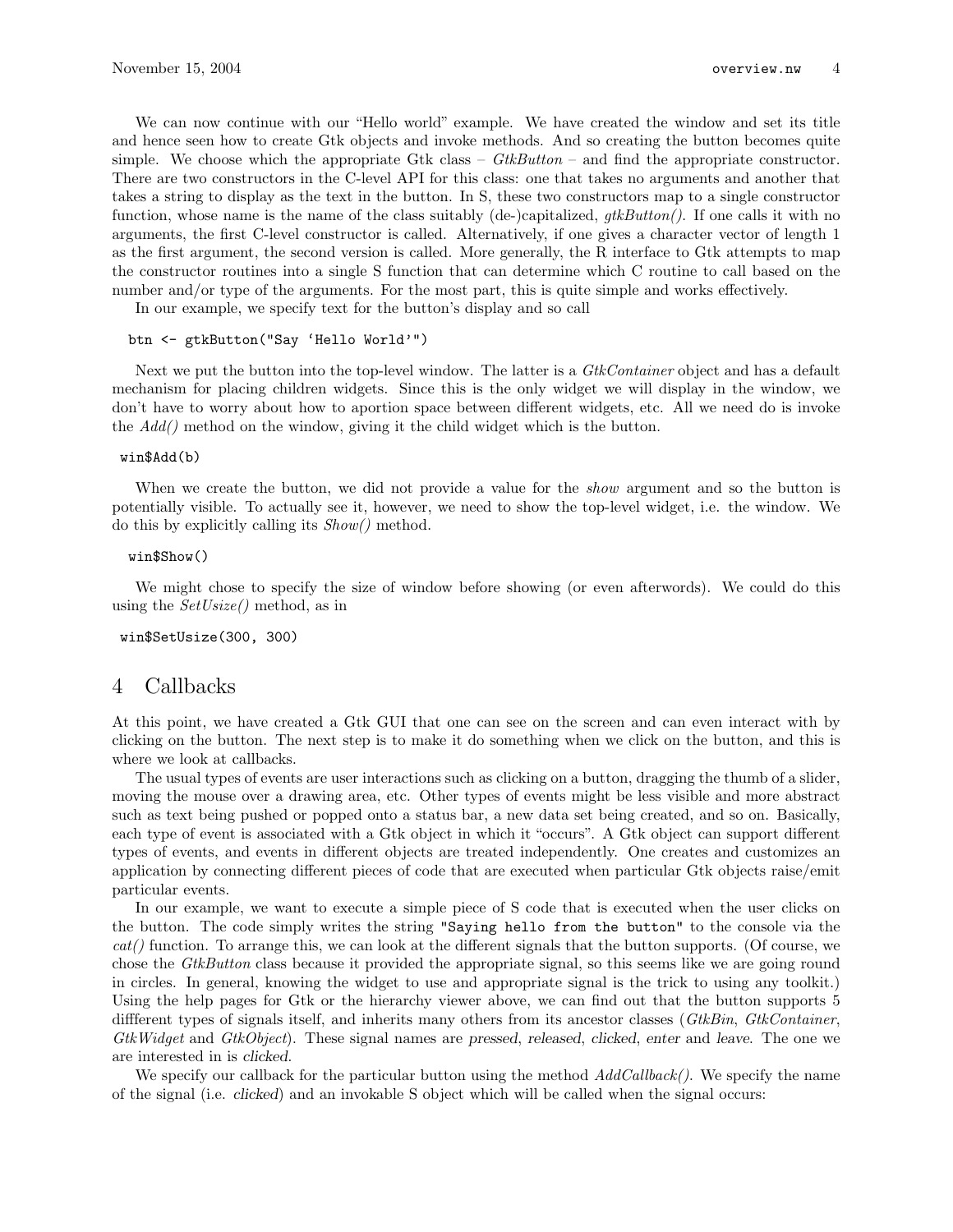We can now continue with our "Hello world" example. We have created the window and set its title and hence seen how to create Gtk objects and invoke methods. And so creating the button becomes quite simple. We choose which the appropriate Gtk class –  $G$ tkButton – and find the appropriate constructor. There are two constructors in the C-level API for this class: one that takes no arguments and another that takes a string to display as the text in the button. In S, these two constructors map to a single constructor function, whose name is the name of the class suitably (de-)capitalized,  $qtkButton()$ . If one calls it with no arguments, the first C-level constructor is called. Alternatively, if one gives a character vector of length 1 as the first argument, the second version is called. More generally, the R interface to Gtk attempts to map the constructor routines into a single S function that can determine which C routine to call based on the number and/or type of the arguments. For the most part, this is quite simple and works effectively.

In our example, we specify text for the button's display and so call

#### btn <- gtkButton("Say 'Hello World'")

Next we put the button into the top-level window. The latter is a *GtkContainer* object and has a default mechanism for placing children widgets. Since this is the only widget we will display in the window, we don't have to worry about how to aportion space between different widgets, etc. All we need do is invoke the  $Add()$  method on the window, giving it the child widget which is the button.

### win\$Add(b)

When we create the button, we did not provide a value for the *show* argument and so the button is potentially visible. To actually see it, however, we need to show the top-level widget, i.e. the window. We do this by explicitly calling its Show() method.

#### win\$Show()

We might chose to specify the size of window before showing (or even afterwords). We could do this using the  $SetUsize()$  method, as in

#### win\$SetUsize(300, 300)

## 4 Callbacks

At this point, we have created a Gtk GUI that one can see on the screen and can even interact with by clicking on the button. The next step is to make it do something when we click on the button, and this is where we look at callbacks.

The usual types of events are user interactions such as clicking on a button, dragging the thumb of a slider, moving the mouse over a drawing area, etc. Other types of events might be less visible and more abstract such as text being pushed or popped onto a status bar, a new data set being created, and so on. Basically, each type of event is associated with a Gtk object in which it "occurs". A Gtk object can support different types of events, and events in different objects are treated independently. One creates and customizes an application by connecting different pieces of code that are executed when particular Gtk objects raise/emit particular events.

In our example, we want to execute a simple piece of S code that is executed when the user clicks on the button. The code simply writes the string "Saying hello from the button" to the console via the  $cat()$  function. To arrange this, we can look at the different signals that the button supports. (Of course, we chose the GtkButton class because it provided the appropriate signal, so this seems like we are going round in circles. In general, knowing the widget to use and appropriate signal is the trick to using any toolkit.) Using the help pages for Gtk or the hierarchy viewer above, we can find out that the button supports 5 different types of signals itself, and inherits many others from its ancestor classes (GtkBin, GtkContainer, GtkWidget and GtkObject). These signal names are pressed, released, clicked, enter and leave. The one we are interested in is clicked.

We specify our callback for the particular button using the method  $AddCalls$ . We specify the name of the signal (i.e. clicked) and an invokable S object which will be called when the signal occurs: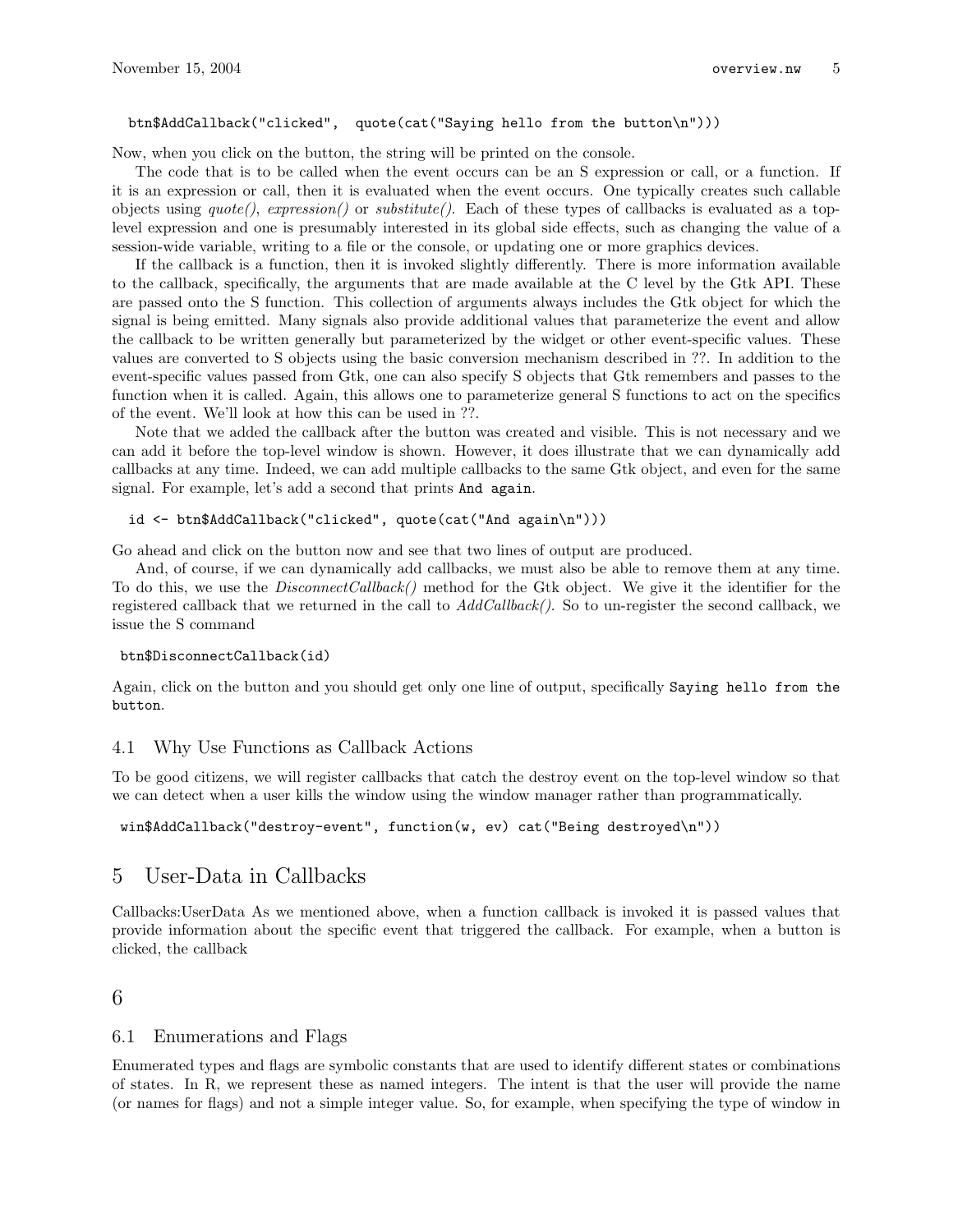### btn\$AddCallback("clicked", quote(cat("Saying hello from the button\n")))

Now, when you click on the button, the string will be printed on the console.

The code that is to be called when the event occurs can be an S expression or call, or a function. If it is an expression or call, then it is evaluated when the event occurs. One typically creates such callable objects using  $\text{quot}(e)$ ,  $\text{expression}($  or  $\text{substitute}($ ). Each of these types of callbacks is evaluated as a toplevel expression and one is presumably interested in its global side effects, such as changing the value of a session-wide variable, writing to a file or the console, or updating one or more graphics devices.

If the callback is a function, then it is invoked slightly differently. There is more information available to the callback, specifically, the arguments that are made available at the C level by the Gtk API. These are passed onto the S function. This collection of arguments always includes the Gtk object for which the signal is being emitted. Many signals also provide additional values that parameterize the event and allow the callback to be written generally but parameterized by the widget or other event-specific values. These values are converted to S objects using the basic conversion mechanism described in ??. In addition to the event-specific values passed from Gtk, one can also specify S objects that Gtk remembers and passes to the function when it is called. Again, this allows one to parameterize general S functions to act on the specifics of the event. We'll look at how this can be used in ??.

Note that we added the callback after the button was created and visible. This is not necessary and we can add it before the top-level window is shown. However, it does illustrate that we can dynamically add callbacks at any time. Indeed, we can add multiple callbacks to the same Gtk object, and even for the same signal. For example, let's add a second that prints And again.

#### id <- btn\$AddCallback("clicked", quote(cat("And again\n")))

Go ahead and click on the button now and see that two lines of output are produced.

And, of course, if we can dynamically add callbacks, we must also be able to remove them at any time. To do this, we use the *DisconnectCallback*() method for the Gtk object. We give it the identifier for the registered callback that we returned in the call to  $AddCallback)$ . So to un-register the second callback, we issue the S command

#### btn\$DisconnectCallback(id)

Again, click on the button and you should get only one line of output, specifically Saying hello from the button.

### 4.1 Why Use Functions as Callback Actions

To be good citizens, we will register callbacks that catch the destroy event on the top-level window so that we can detect when a user kills the window using the window manager rather than programmatically.

win\$AddCallback("destroy-event", function(w, ev) cat("Being destroyed\n"))

# 5 User-Data in Callbacks

Callbacks:UserData As we mentioned above, when a function callback is invoked it is passed values that provide information about the specific event that triggered the callback. For example, when a button is clicked, the callback

## 6

### 6.1 Enumerations and Flags

Enumerated types and flags are symbolic constants that are used to identify different states or combinations of states. In R, we represent these as named integers. The intent is that the user will provide the name (or names for flags) and not a simple integer value. So, for example, when specifying the type of window in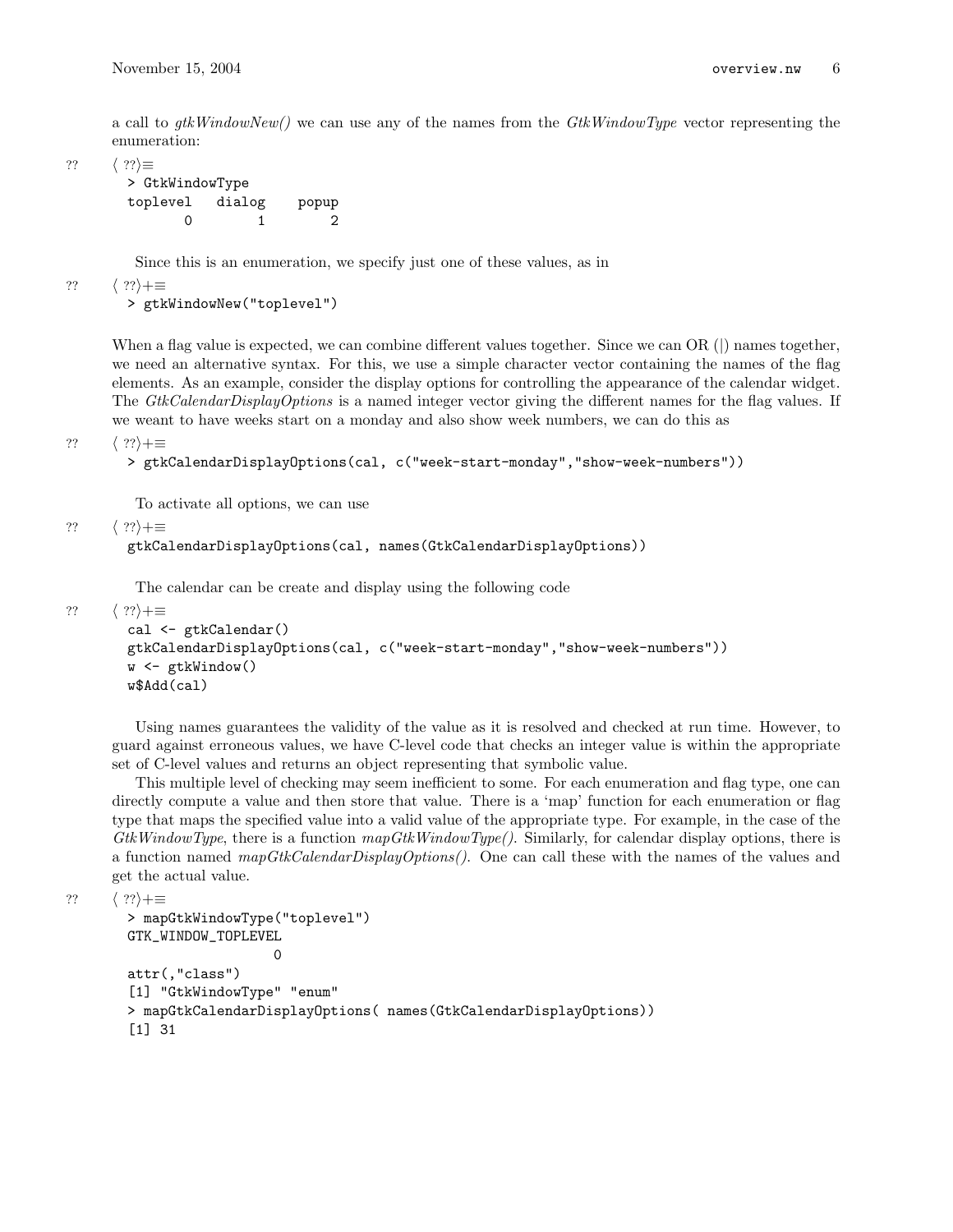a call to  $qtkWindowNew()$  we can use any of the names from the  $GtkWindowType$  vector representing the enumeration:

??  $\langle ?? \rangle \equiv$ 

```
> GtkWindowType
toplevel dialog popup
     0 1 2
```
Since this is an enumeration, we specify just one of these values, as in

??  $\langle ?? \rangle + \equiv$ 

> gtkWindowNew("toplevel")

When a flag value is expected, we can combine different values together. Since we can OR (|) names together, we need an alternative syntax. For this, we use a simple character vector containing the names of the flag elements. As an example, consider the display options for controlling the appearance of the calendar widget. The GtkCalendarDisplayOptions is a named integer vector giving the different names for the flag values. If we weant to have weeks start on a monday and also show week numbers, we can do this as

??  $\langle ?? \rangle + \equiv$ 

```
> gtkCalendarDisplayOptions(cal, c("week-start-monday","show-week-numbers"))
```
To activate all options, we can use

```
?? \langle ?? \rangle + \equiv
```

```
gtkCalendarDisplayOptions(cal, names(GtkCalendarDisplayOptions))
```
The calendar can be create and display using the following code

```
?? \langle ?? \rangle + \equiv
```

```
cal <- gtkCalendar()
gtkCalendarDisplayOptions(cal, c("week-start-monday","show-week-numbers"))
w <- gtkWindow()
w$Add(cal)
```
Using names guarantees the validity of the value as it is resolved and checked at run time. However, to guard against erroneous values, we have C-level code that checks an integer value is within the appropriate set of C-level values and returns an object representing that symbolic value.

This multiple level of checking may seem inefficient to some. For each enumeration and flag type, one can directly compute a value and then store that value. There is a 'map' function for each enumeration or flag type that maps the specified value into a valid value of the appropriate type. For example, in the case of the GtkWindowType, there is a function  $mapGtkWindowType()$ . Similarly, for calendar display options, there is a function named  $mapGtkCalendarDisplayOptions()$ . One can call these with the names of the values and get the actual value.

??  $\langle ?? \rangle + \equiv$ 

```
> mapGtkWindowType("toplevel")
GTK_WINDOW_TOPLEVEL
                  \Omegaattr(,"class")
[1] "GtkWindowType" "enum"
> mapGtkCalendarDisplayOptions( names(GtkCalendarDisplayOptions))
[1] 31
```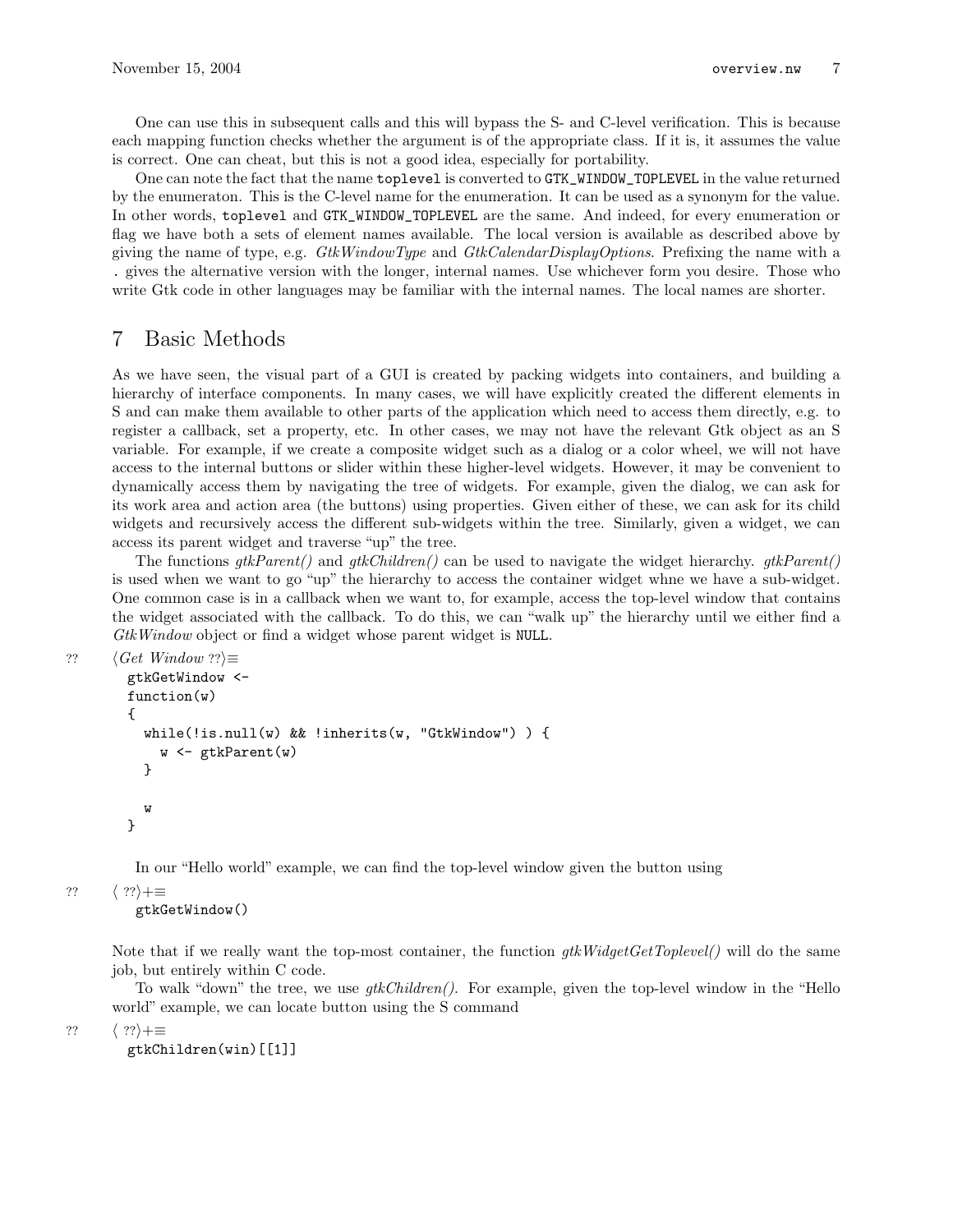One can use this in subsequent calls and this will bypass the S- and C-level verification. This is because each mapping function checks whether the argument is of the appropriate class. If it is, it assumes the value is correct. One can cheat, but this is not a good idea, especially for portability.

One can note the fact that the name toplevel is converted to GTK\_WINDOW\_TOPLEVEL in the value returned by the enumeraton. This is the C-level name for the enumeration. It can be used as a synonym for the value. In other words, toplevel and GTK\_WINDOW\_TOPLEVEL are the same. And indeed, for every enumeration or flag we have both a sets of element names available. The local version is available as described above by giving the name of type, e.g. GtkWindowType and GtkCalendarDisplayOptions. Prefixing the name with a . gives the alternative version with the longer, internal names. Use whichever form you desire. Those who write Gtk code in other languages may be familiar with the internal names. The local names are shorter.

# 7 Basic Methods

As we have seen, the visual part of a GUI is created by packing widgets into containers, and building a hierarchy of interface components. In many cases, we will have explicitly created the different elements in S and can make them available to other parts of the application which need to access them directly, e.g. to register a callback, set a property, etc. In other cases, we may not have the relevant Gtk object as an S variable. For example, if we create a composite widget such as a dialog or a color wheel, we will not have access to the internal buttons or slider within these higher-level widgets. However, it may be convenient to dynamically access them by navigating the tree of widgets. For example, given the dialog, we can ask for its work area and action area (the buttons) using properties. Given either of these, we can ask for its child widgets and recursively access the different sub-widgets within the tree. Similarly, given a widget, we can access its parent widget and traverse "up" the tree.

The functions  $gtkParent()$  and  $gtkChildren()$  can be used to navigate the widget hierarchy.  $gtkParent()$ is used when we want to go "up" the hierarchy to access the container widget whne we have a sub-widget. One common case is in a callback when we want to, for example, access the top-level window that contains the widget associated with the callback. To do this, we can "walk up" the hierarchy until we either find a GtkWindow object or find a widget whose parent widget is NULL.

```
?? \langle Get\ Window\ ??\rangle \equivgtkGetWindow <-
         function(w)
         {
           while(!is.null(w) && !inherits(w, "GtkWindow") ) {
              w <- gtkParent(w)
           }
           w
         }
```
In our "Hello world" example, we can find the top-level window given the button using

??  $\langle ?? \rangle + \equiv$ 

gtkGetWindow()

Note that if we really want the top-most container, the function  $qtkWidqetGetToplevel()$  will do the same job, but entirely within C code.

To walk "down" the tree, we use  $gtkChildren()$ . For example, given the top-level window in the "Hello" world" example, we can locate button using the S command

??  $\langle ?? \rangle + \equiv$ 

gtkChildren(win)[[1]]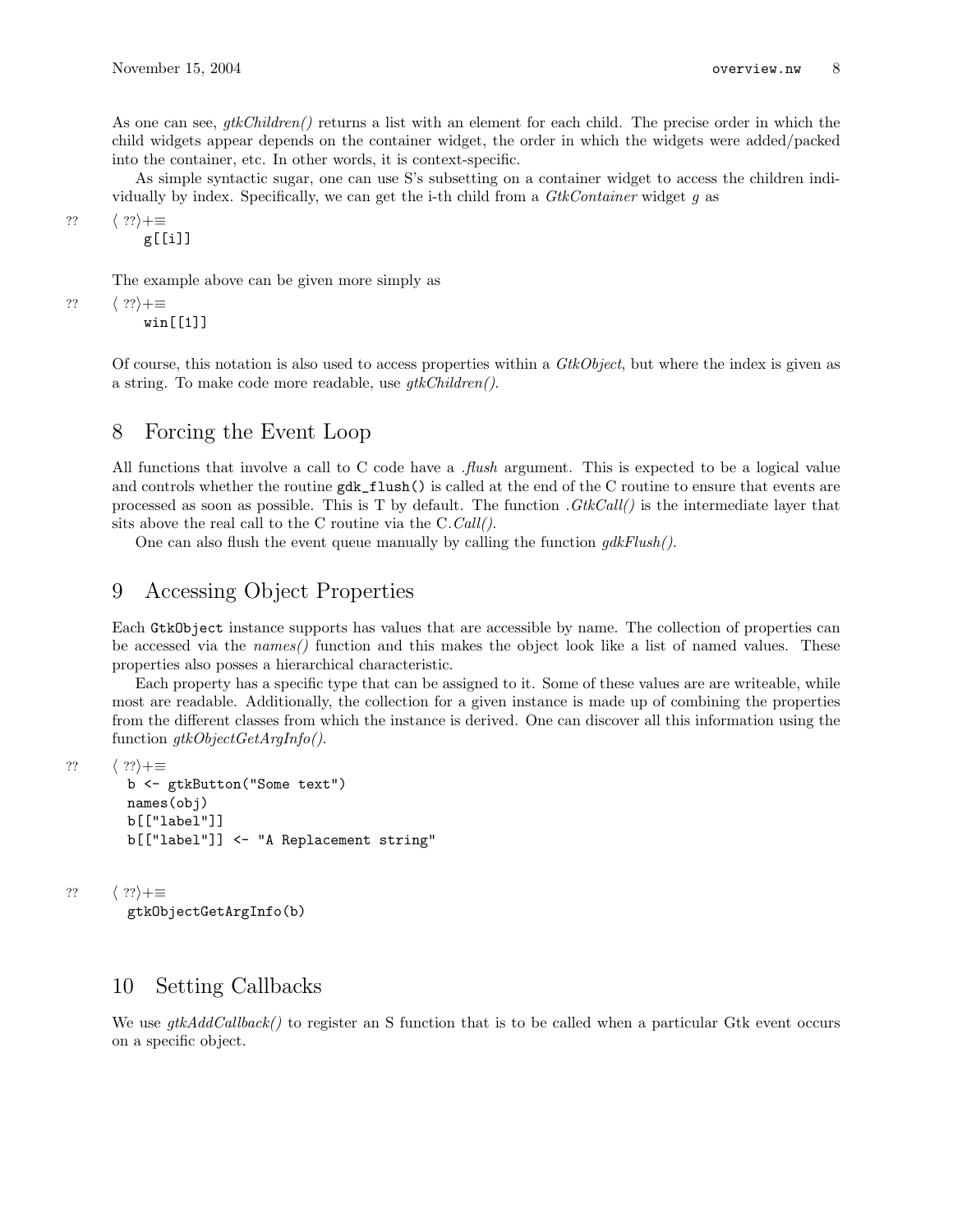As one can see,  $qtkChildren()$  returns a list with an element for each child. The precise order in which the child widgets appear depends on the container widget, the order in which the widgets were added/packed into the container, etc. In other words, it is context-specific.

As simple syntactic sugar, one can use S's subsetting on a container widget to access the children individually by index. Specifically, we can get the i-th child from a  $GtkContainer$  widget g as

??  $\langle ?? \rangle + \equiv$ 

g[[i]]

The example above can be given more simply as

??  $\langle ?? \rangle + \equiv$ 

win[[1]]

Of course, this notation is also used to access properties within a GtkObject, but where the index is given as a string. To make code more readable, use gtkChildren().

## 8 Forcing the Event Loop

All functions that involve a call to C code have a *flush* argument. This is expected to be a logical value and controls whether the routine  $gdk_flush()$  is called at the end of the C routine to ensure that events are processed as soon as possible. This is T by default. The function  $GtkCall()$  is the intermediate layer that sits above the real call to the C routine via the C.Call().

One can also flush the event queue manually by calling the function  $qdkFlush()$ .

## 9 Accessing Object Properties

Each GtkObject instance supports has values that are accessible by name. The collection of properties can be accessed via the names() function and this makes the object look like a list of named values. These properties also posses a hierarchical characteristic.

Each property has a specific type that can be assigned to it. Some of these values are are writeable, while most are readable. Additionally, the collection for a given instance is made up of combining the properties from the different classes from which the instance is derived. One can discover all this information using the function *qtkObjectGetArgInfo()*.

```
?? \langle ?? \rangle + \equivb <- gtkButton("Some text")
        names(obj)
         b[["label"]]
         b[["label"]] <- "A Replacement string"
```

```
?? \langle ?? \rangle + \equiv
```
gtkObjectGetArgInfo(b)

# 10 Setting Callbacks

We use  $q$ tk $AddCallback()$  to register an S function that is to be called when a particular Gtk event occurs on a specific object.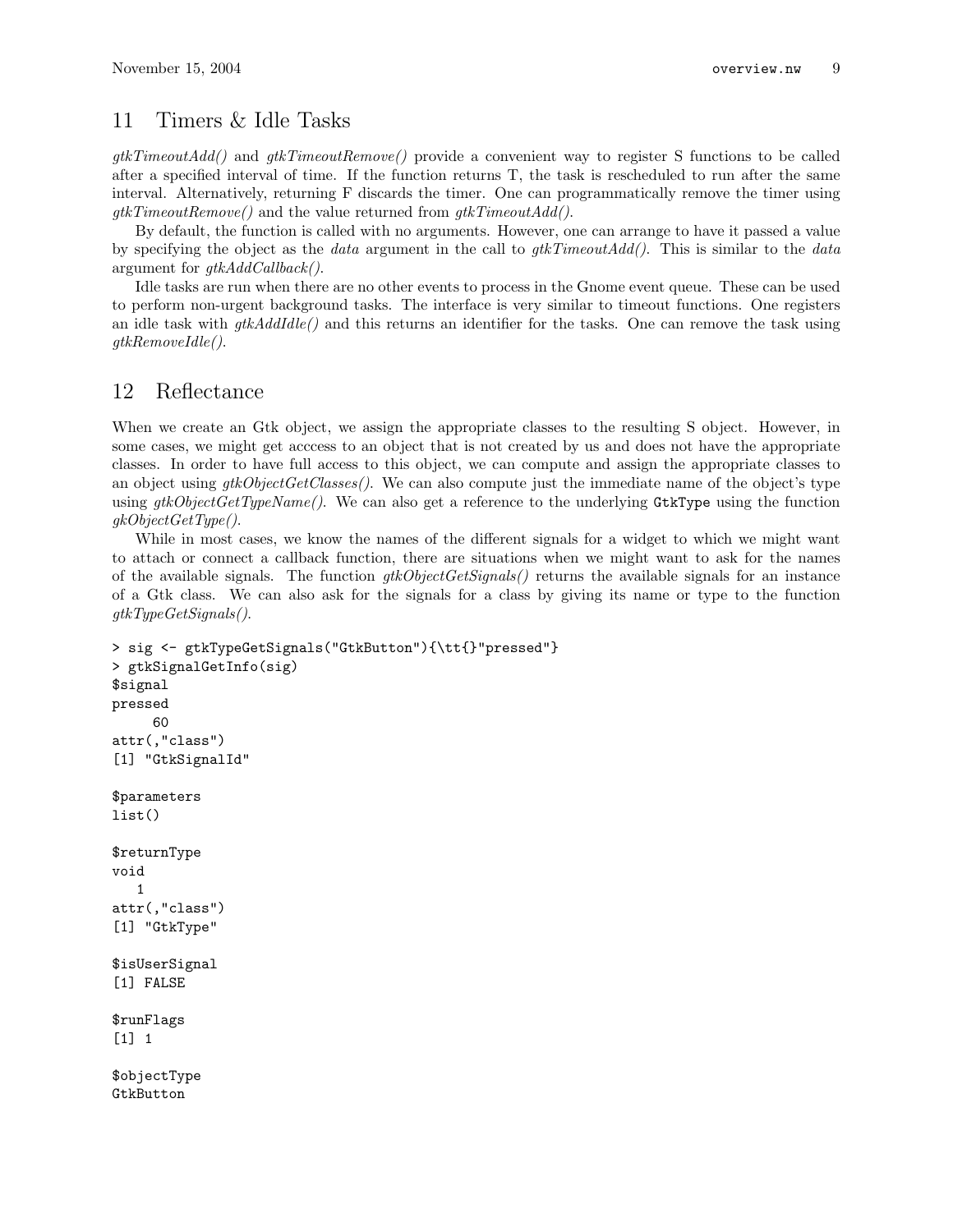# 11 Timers & Idle Tasks

 $qtkTimeoutAdd()$  and  $qtkTimeoutRemove()$  provide a convenient way to register S functions to be called after a specified interval of time. If the function returns T, the task is rescheduled to run after the same interval. Alternatively, returning F discards the timer. One can programmatically remove the timer using  $gtkTimeoutRemove()$  and the value returned from  $gtkTimeoutAdd()$ .

By default, the function is called with no arguments. However, one can arrange to have it passed a value by specifying the object as the *data* argument in the call to  $gtkTimeoutAdd()$ . This is similar to the *data* argument for  $qtkAddCallback$ ).

Idle tasks are run when there are no other events to process in the Gnome event queue. These can be used to perform non-urgent background tasks. The interface is very similar to timeout functions. One registers an idle task with  $gtkAddilde()$  and this returns an identifier for the tasks. One can remove the task using gtkRemoveIdle().

# 12 Reflectance

When we create an Gtk object, we assign the appropriate classes to the resulting S object. However, in some cases, we might get acccess to an object that is not created by us and does not have the appropriate classes. In order to have full access to this object, we can compute and assign the appropriate classes to an object using  $qtkObjectGetClasses()$ . We can also compute just the immediate name of the object's type using  $gtkObjectGetTypeName()$ . We can also get a reference to the underlying GtkType using the function  $g kObjectGetType$ .

While in most cases, we know the names of the different signals for a widget to which we might want to attach or connect a callback function, there are situations when we might want to ask for the names of the available signals. The function  $qtkObjectGetSignals()$  returns the available signals for an instance of a Gtk class. We can also ask for the signals for a class by giving its name or type to the function gtkTypeGetSignals().

```
> sig <- gtkTypeGetSignals("GtkButton"){\tt{}"pressed"}
> gtkSignalGetInfo(sig)
$signal
pressed
     60
attr(,"class")
[1] "GtkSignalId"
$parameters
list()
$returnType
void
   1
attr(,"class")
[1] "GtkType"
$isUserSignal
[1] FALSE
$runFlags
[1] 1
$objectType
GtkButton
```